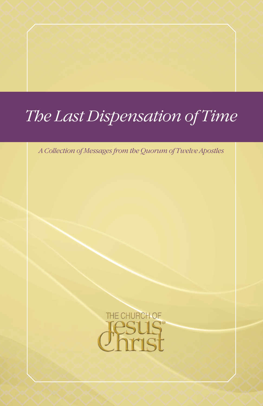# *The Last Dispensation of Time*

*A Collection of Messages from the Quorum of Twelve Apostles*

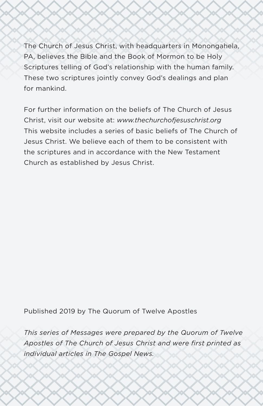The Church of Jesus Christ, with headquarters in Monongahela, PA, believes the Bible and the Book of Mormon to be Holy Scriptures telling of God's relationship with the human family. These two scriptures jointly convey God's dealings and plan for mankind.

For further information on the beliefs of The Church of Jesus Christ, visit our website at: *[www.thechurchofjesuschrist.org](http://www.thechurchofjesuschrist.org)* This website includes a series of basic beliefs of The Church of Jesus Christ. We believe each of them to be consistent with the scriptures and in accordance with the New Testament Church as established by Jesus Christ.

Published 2019 by The Quorum of Twelve Apostles

*This series of Messages were prepared by the Quorum of Twelve Apostles of The Church of Jesus Christ and were first printed as individual articles in The Gospel News.*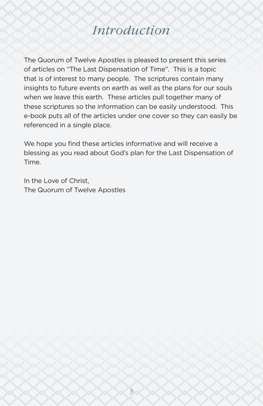# *Introduction*

The Quorum of Twelve Apostles is pleased to present this series of articles on "The Last Dispensation of Time". This is a topic that is of interest to many people. The scriptures contain many insights to future events on earth as well as the plans for our souls when we leave this earth. These articles pull together many of these scriptures so the information can be easily understood. This e-book puts all of the articles under one cover so they can easily be referenced in a single place.

We hope you find these articles informative and will receive a blessing as you read about God's plan for the Last Dispensation of Time.

In the Love of Christ, The Quorum of Twelve Apostles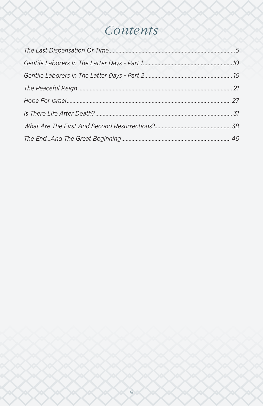# <span id="page-3-0"></span>Contents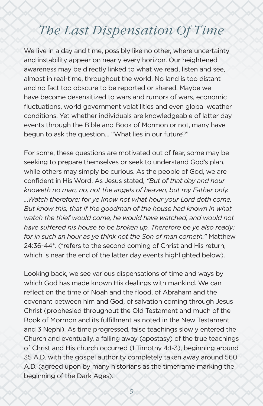# <span id="page-4-0"></span>*The Last Dispensation Of Time*

We live in a day and time, possibly like no other, where uncertainty and instability appear on nearly every horizon. Our heightened awareness may be directly linked to what we read, listen and see, almost in real-time, throughout the world. No land is too distant and no fact too obscure to be reported or shared. Maybe we have become desensitized to wars and rumors of wars, economic fluctuations, world government volatilities and even global weather conditions. Yet whether individuals are knowledgeable of latter day events through the Bible and Book of Mormon or not, many have begun to ask the question… "What lies in our future?"

For some, these questions are motivated out of fear, some may be seeking to prepare themselves or seek to understand God's plan, while others may simply be curious. As the people of God, we are confident in His Word. As Jesus stated, *"But of that day and hour knoweth no man, no, not the angels of heaven, but my Father only. …Watch therefore: for ye know not what hour your Lord doth come. But know this, that if the goodman of the house had known in what watch the thief would come, he would have watched, and would not have suffered his house to be broken up. Therefore be ye also ready: for in such an hour as ye think not the Son of man cometh."* Matthew 24:36-44\*. (\*refers to the second coming of Christ and His return, which is near the end of the latter day events highlighted below).

Looking back, we see various dispensations of time and ways by which God has made known His dealings with mankind. We can reflect on the time of Noah and the flood, of Abraham and the covenant between him and God, of salvation coming through Jesus Christ (prophesied throughout the Old Testament and much of the Book of Mormon and its fulfillment as noted in the New Testament and 3 Nephi). As time progressed, false teachings slowly entered the Church and eventually, a falling away (apostasy) of the true teachings of Christ and His church occurred (1 Timothy 4:1-3), beginning around 35 A.D. with the gospel authority completely taken away around 560 A.D. (agreed upon by many historians as the timeframe marking the beginning of the Dark Ages).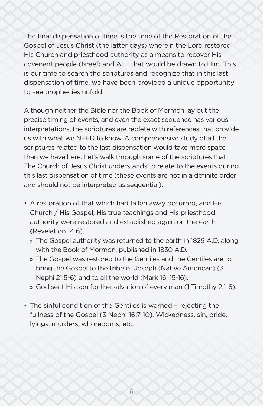The final dispensation of time is the time of the Restoration of the Gospel of Jesus Christ (the latter days) wherein the Lord restored His Church and priesthood authority as a means to recover His covenant people (Israel) and ALL that would be drawn to Him. This is our time to search the scriptures and recognize that in this last dispensation of time, we have been provided a unique opportunity to see prophecies unfold.

Although neither the Bible nor the Book of Mormon lay out the precise timing of events, and even the exact sequence has various interpretations, the scriptures are replete with references that provide us with what we NEED to know. A comprehensive study of all the scriptures related to the last dispensation would take more space than we have here. Let's walk through some of the scriptures that The Church of Jesus Christ understands to relate to the events during this last dispensation of time (these events are not in a definite order and should not be interpreted as sequential):

- A restoration of that which had fallen away occurred, and His Church / His Gospel, His true teachings and His priesthood authority were restored and established again on the earth (Revelation 14:6).
	- » The Gospel authority was returned to the earth in 1829 A.D. along with the Book of Mormon, published in 1830 A.D.
	- » The Gospel was restored to the Gentiles and the Gentiles are to bring the Gospel to the tribe of Joseph (Native American) (3 Nephi 21:5-6) and to all the world (Mark 16: 15-16).
	- » God sent His son for the salvation of every man (1 Timothy 2:1-6).
- The sinful condition of the Gentiles is warned rejecting the fullness of the Gospel (3 Nephi 16:7-10). Wickedness, sin, pride, lyings, murders, whoredoms, etc.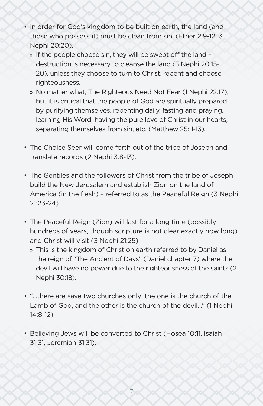- In order for God's kingdom to be built on earth, the land (and those who possess it) must be clean from sin. (Ether 2:9-12, 3 Nephi 20:20).
	- » If the people choose sin, they will be swept off the land destruction is necessary to cleanse the land (3 Nephi 20:15- 20), unless they choose to turn to Christ, repent and choose righteousness.
	- » No matter what, The Righteous Need Not Fear (1 Nephi 22:17), but it is critical that the people of God are spiritually prepared by purifying themselves, repenting daily, fasting and praying, learning His Word, having the pure love of Christ in our hearts, separating themselves from sin, etc. (Matthew 25: 1-13).
- The Choice Seer will come forth out of the tribe of Joseph and translate records (2 Nephi 3:8-13).
- The Gentiles and the followers of Christ from the tribe of Joseph build the New Jerusalem and establish Zion on the land of America (in the flesh) – referred to as the Peaceful Reign (3 Nephi 21:23-24).
- The Peaceful Reign (Zion) will last for a long time (possibly hundreds of years, though scripture is not clear exactly how long) and Christ will visit (3 Nephi 21:25).
	- » This is the kingdom of Christ on earth referred to by Daniel as the reign of "The Ancient of Days" (Daniel chapter 7) where the devil will have no power due to the righteousness of the saints (2 Nephi 30:18).
- "…there are save two churches only; the one is the church of the Lamb of God, and the other is the church of the devil…" (1 Nephi 14:8-12).
- Believing Jews will be converted to Christ (Hosea 10:11, Isaiah 31:31, Jeremiah 31:31).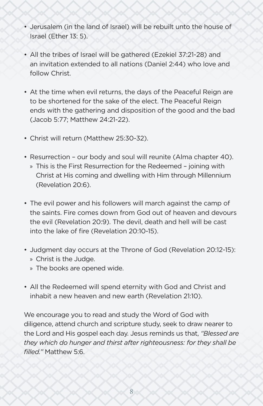- Jerusalem (in the land of Israel) will be rebuilt unto the house of Israel (Ether 13: 5).
- All the tribes of Israel will be gathered (Ezekiel 37:21-28) and an invitation extended to all nations (Daniel 2:44) who love and follow Christ.
- At the time when evil returns, the days of the Peaceful Reign are to be shortened for the sake of the elect. The Peaceful Reign ends with the gathering and disposition of the good and the bad (Jacob 5:77; Matthew 24:21-22).
- Christ will return (Matthew 25:30-32).
- Resurrection our body and soul will reunite (Alma chapter 40).
	- » This is the First Resurrection for the Redeemed joining with Christ at His coming and dwelling with Him through Millennium (Revelation 20:6).
- The evil power and his followers will march against the camp of the saints. Fire comes down from God out of heaven and devours the evil (Revelation 20:9). The devil, death and hell will be cast into the lake of fire (Revelation 20:10-15).
- Judgment day occurs at the Throne of God (Revelation 20:12-15): » Christ is the Judge.
	- » The books are opened wide.
- All the Redeemed will spend eternity with God and Christ and inhabit a new heaven and new earth (Revelation 21:10).

We encourage you to read and study the Word of God with diligence, attend church and scripture study, seek to draw nearer to the Lord and His gospel each day. Jesus reminds us that, *"Blessed are they which do hunger and thirst after righteousness: for they shall be filled."* Matthew 5:6.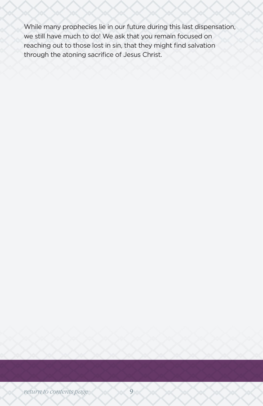While many prophecies lie in our future during this last dispensation, we still have much to do! We ask that you remain focused on reaching out to those lost in sin, that they might find salvation through the atoning sacrifice of Jesus Christ.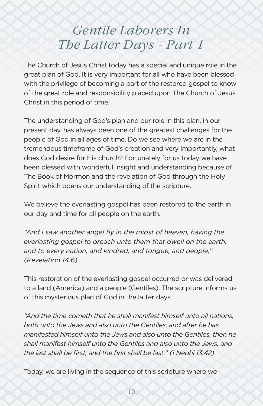# <span id="page-9-0"></span>*Gentile Laborers In The Latter Days - Part 1*

The Church of Jesus Christ today has a special and unique role in the great plan of God. It is very important for all who have been blessed with the privilege of becoming a part of the restored gospel to know of the great role and responsibility placed upon The Church of Jesus Christ in this period of time.

The understanding of God's plan and our role in this plan, in our present day, has always been one of the greatest challenges for the people of God in all ages of time. Do we see where we are in the tremendous timeframe of God's creation and very importantly, what does God desire for His church? Fortunately for us today we have been blessed with wonderful insight and understanding because of The Book of Mormon and the revelation of God through the Holy Spirit which opens our understanding of the scripture.

We believe the everlasting gospel has been restored to the earth in our day and time for all people on the earth.

*"And I saw another angel fly in the midst of heaven, having the everlasting gospel to preach unto them that dwell on the earth, and to every nation, and kindred, and tongue, and people," (Revelation 14:6).*

This restoration of the everlasting gospel occurred or was delivered to a land (America) and a people (Gentiles). The scripture informs us of this mysterious plan of God in the latter days.

*"And the time cometh that he shall manifest himself unto all nations, both unto the Jews and also unto the Gentiles; and after he has manifested himself unto the Jews and also unto the Gentiles, then he shall manifest himself unto the Gentiles and also unto the Jews, and the last shall be first, and the first shall be last." (1 Nephi 13:42)*

Today, we are living in the sequence of this scripture where we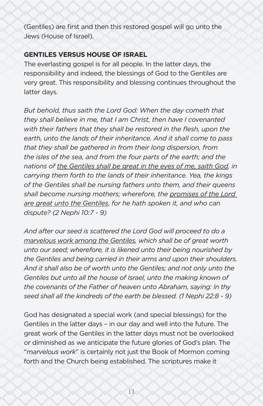(Gentiles) are first and then this restored gospel will go unto the Jews (House of Israel).

#### **GENTILES VERSUS HOUSE OF ISRAEL**

The everlasting gospel is for all people. In the latter days, the responsibility and indeed, the blessings of God to the Gentiles are very great. This responsibility and blessing continues throughout the latter days.

*But behold, thus saith the Lord God: When the day cometh that they shall believe in me, that I am Christ, then have I covenanted with their fathers that they shall be restored in the flesh, upon the earth, unto the lands of their inheritance. And it shall come to pass that they shall be gathered in from their long dispersion, from the isles of the sea, and from the four parts of the earth; and the nations of the Gentiles shall be great in the eyes of me, saith God, in carrying them forth to the lands of their inheritance. Yea, the kings of the Gentiles shall be nursing fathers unto them, and their queens shall become nursing mothers; wherefore, the promises of the Lord are great unto the Gentiles, for he hath spoken it, and who can dispute? (2 Nephi 10:7 - 9)*

*And after our seed is scattered the Lord God will proceed to do a marvelous work among the Gentiles, which shall be of great worth unto our seed; wherefore, it is likened unto their being nourished by the Gentiles and being carried in their arms and upon their shoulders. And it shall also be of worth unto the Gentiles; and not only unto the Gentiles but unto all the house of Israel, unto the making known of the covenants of the Father of heaven unto Abraham, saying: In thy seed shall all the kindreds of the earth be blessed. (1 Nephi 22:8 - 9)*

God has designated a special work (and special blessings) for the Gentiles in the latter days – in our day and well into the future. The great work of the Gentiles in the latter days must not be overlooked or diminished as we anticipate the future glories of God's plan. The "*marvelous work*" is certainly not just the Book of Mormon coming forth and the Church being established. The scriptures make it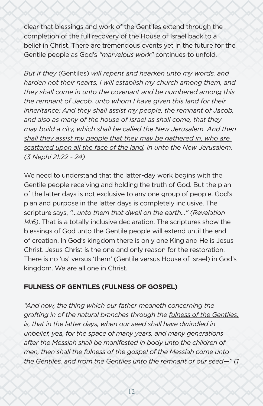clear that blessings and work of the Gentiles extend through the completion of the full recovery of the House of Israel back to a belief in Christ. There are tremendous events yet in the future for the Gentile people as God's *"marvelous work"* continues to unfold.

*But if they* (Gentiles) *will repent and hearken unto my words, and harden not their hearts, I will establish my church among them, and they shall come in unto the covenant and be numbered among this the remnant of Jacob, unto whom I have given this land for their inheritance; And they shall assist my people, the remnant of Jacob, and also as many of the house of Israel as shall come, that they may build a city, which shall be called the New Jerusalem. And then shall they assist my people that they may be gathered in, who are scattered upon all the face of the land, in unto the New Jerusalem. (3 Nephi 21:22 - 24)*

We need to understand that the latter-day work begins with the Gentile people receiving and holding the truth of God. But the plan of the latter days is not exclusive to any one group of people. God's plan and purpose in the latter days is completely inclusive. The scripture says, *"…unto them that dwell on the earth…" (Revelation 14:6)*. That is a totally inclusive declaration. The scriptures show the blessings of God unto the Gentile people will extend until the end of creation. In God's kingdom there is only one King and He is Jesus Christ. Jesus Christ is the one and only reason for the restoration. There is no 'us' versus 'them' (Gentile versus House of Israel) in God's kingdom. We are all one in Christ.

### **FULNESS OF GENTILES (FULNESS OF GOSPEL)**

*"And now, the thing which our father meaneth concerning the grafting in of the natural branches through the fulness of the Gentiles, is, that in the latter days, when our seed shall have dwindled in unbelief, yea, for the space of many years, and many generations after the Messiah shall be manifested in body unto the children of men, then shall the fulness of the gospel of the Messiah come unto the Gentiles, and from the Gentiles unto the remnant of our seed—" (1*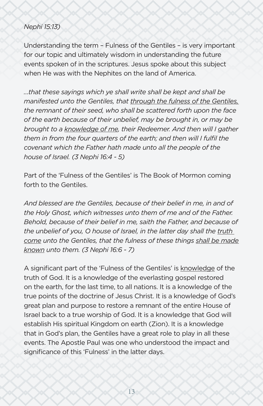#### *Nephi 15:13)*

Understanding the term – Fulness of the Gentiles – is very important for our topic and ultimately wisdom in understanding the future events spoken of in the scriptures. Jesus spoke about this subject when He was with the Nephites on the land of America.

*…that these sayings which ye shall write shall be kept and shall be manifested unto the Gentiles, that through the fulness of the Gentiles, the remnant of their seed, who shall be scattered forth upon the face of the earth because of their unbelief, may be brought in, or may be brought to a knowledge of me, their Redeemer. And then will I gather them in from the four quarters of the earth; and then will I fulfil the covenant which the Father hath made unto all the people of the house of Israel. (3 Nephi 16:4 - 5)*

Part of the 'Fulness of the Gentiles' is The Book of Mormon coming forth to the Gentiles.

*And blessed are the Gentiles, because of their belief in me, in and of the Holy Ghost, which witnesses unto them of me and of the Father. Behold, because of their belief in me, saith the Father, and because of the unbelief of you, O house of Israel, in the latter day shall the truth come unto the Gentiles, that the fulness of these things shall be made known unto them. (3 Nephi 16:6 - 7)*

A significant part of the 'Fulness of the Gentiles' is knowledge of the truth of God. It is a knowledge of the everlasting gospel restored on the earth, for the last time, to all nations. It is a knowledge of the true points of the doctrine of Jesus Christ. It is a knowledge of God's great plan and purpose to restore a remnant of the entire House of Israel back to a true worship of God. It is a knowledge that God will establish His spiritual Kingdom on earth (Zion). It is a knowledge that in God's plan, the Gentiles have a great role to play in all these events. The Apostle Paul was one who understood the impact and significance of this 'Fulness' in the latter days.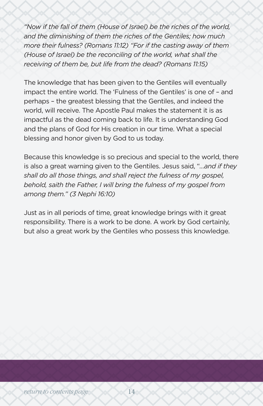*"Now if the fall of them (House of Israel) be the riches of the world, and the diminishing of them the riches of the Gentiles; how much more their fulness? (Romans 11:12) "For if the casting away of them (House of Israel) be the reconciling of the world, what shall the receiving of them be, but life from the dead? (Romans 11:15)*

The knowledge that has been given to the Gentiles will eventually impact the entire world. The 'Fulness of the Gentiles' is one of – and perhaps – the greatest blessing that the Gentiles, and indeed the world, will receive. The Apostle Paul makes the statement it is as impactful as the dead coming back to life. It is understanding God and the plans of God for His creation in our time. What a special blessing and honor given by God to us today.

Because this knowledge is so precious and special to the world, there is also a great warning given to the Gentiles. Jesus said, "*…and if they shall do all those things, and shall reject the fulness of my gospel, behold, saith the Father, I will bring the fulness of my gospel from among them." (3 Nephi 16:10)*

Just as in all periods of time, great knowledge brings with it great responsibility. There is a work to be done. A work by God certainly, but also a great work by the Gentiles who possess this knowledge.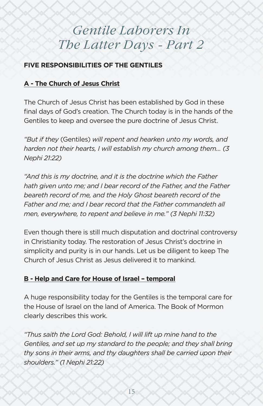# <span id="page-14-0"></span>*Gentile Laborers In The Latter Days - Part 2*

# **FIVE RESPONSIBILITIES OF THE GENTILES**

# **A - The Church of Jesus Christ**

The Church of Jesus Christ has been established by God in these final days of God's creation. The Church today is in the hands of the Gentiles to keep and oversee the pure doctrine of Jesus Christ.

*"But if they* (Gentiles) *will repent and hearken unto my words, and harden not their hearts, I will establish my church among them… (3 Nephi 21:22)*

*"And this is my doctrine, and it is the doctrine which the Father hath given unto me; and I bear record of the Father, and the Father beareth record of me, and the Holy Ghost beareth record of the Father and me; and I bear record that the Father commandeth all men, everywhere, to repent and believe in me." (3 Nephi 11:32)*

Even though there is still much disputation and doctrinal controversy in Christianity today. The restoration of Jesus Christ's doctrine in simplicity and purity is in our hands. Let us be diligent to keep The Church of Jesus Christ as Jesus delivered it to mankind.

# **B - Help and Care for House of Israel – temporal**

A huge responsibility today for the Gentiles is the temporal care for the House of Israel on the land of America. The Book of Mormon clearly describes this work.

*"Thus saith the Lord God: Behold, I will lift up mine hand to the Gentiles, and set up my standard to the people; and they shall bring thy sons in their arms, and thy daughters shall be carried upon their shoulders." (1 Nephi 21:22)*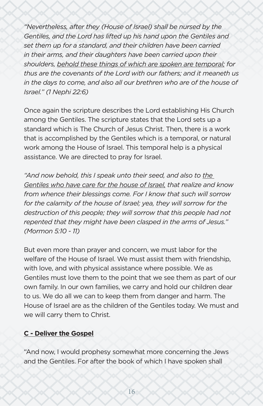*"Nevertheless, after they (House of Israel) shall be nursed by the Gentiles, and the Lord has lifted up his hand upon the Gentiles and set them up for a standard, and their children have been carried in their arms, and their daughters have been carried upon their shoulders, behold these things of which are spoken are temporal; for thus are the covenants of the Lord with our fathers; and it meaneth us in the days to come, and also all our brethren who are of the house of Israel." (1 Nephi 22:6)*

Once again the scripture describes the Lord establishing His Church among the Gentiles. The scripture states that the Lord sets up a standard which is The Church of Jesus Christ. Then, there is a work that is accomplished by the Gentiles which is a temporal, or natural work among the House of Israel. This temporal help is a physical assistance. We are directed to pray for Israel.

*"And now behold, this I speak unto their seed, and also to the Gentiles who have care for the house of Israel, that realize and know from whence their blessings come. For I know that such will sorrow*  for the calamity of the house of *Israel*; yea, they will sorrow for the *destruction of this people; they will sorrow that this people had not repented that they might have been clasped in the arms of Jesus." (Mormon 5:10 - 11)*

But even more than prayer and concern, we must labor for the welfare of the House of Israel. We must assist them with friendship, with love, and with physical assistance where possible. We as Gentiles must love them to the point that we see them as part of our own family. In our own families, we carry and hold our children dear to us. We do all we can to keep them from danger and harm. The House of Israel are as the children of the Gentiles today. We must and we will carry them to Christ.

### **C - Deliver the Gospel**

"And now, I would prophesy somewhat more concerning the Jews and the Gentiles. For after the book of which I have spoken shall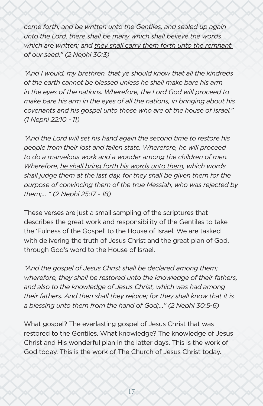*come forth, and be written unto the Gentiles, and sealed up again unto the Lord, there shall be many which shall believe the words which are written; and they shall carry them forth unto the remnant of our seed." (2 Nephi 30:3)*

*"And I would, my brethren, that ye should know that all the kindreds of the earth cannot be blessed unless he shall make bare his arm in the eyes of the nations. Wherefore, the Lord God will proceed to make bare his arm in the eyes of all the nations, in bringing about his covenants and his gospel unto those who are of the house of Israel." (1 Nephi 22:10 - 11)*

*"And the Lord will set his hand again the second time to restore his people from their lost and fallen state. Wherefore, he will proceed to do a marvelous work and a wonder among the children of men. Wherefore, he shall bring forth his words unto them, which words shall judge them at the last day, for they shall be given them for the purpose of convincing them of the true Messiah, who was rejected by them;… " (2 Nephi 25:17 - 18)*

These verses are just a small sampling of the scriptures that describes the great work and responsibility of the Gentiles to take the 'Fulness of the Gospel' to the House of Israel. We are tasked with delivering the truth of Jesus Christ and the great plan of God, through God's word to the House of Israel.

*"And the gospel of Jesus Christ shall be declared among them; wherefore, they shall be restored unto the knowledge of their fathers, and also to the knowledge of Jesus Christ, which was had among their fathers. And then shall they rejoice; for they shall know that it is a blessing unto them from the hand of God;…" (2 Nephi 30:5-6)*

What gospel? The everlasting gospel of Jesus Christ that was restored to the Gentiles. What knowledge? The knowledge of Jesus Christ and His wonderful plan in the latter days. This is the work of God today. This is the work of The Church of Jesus Christ today.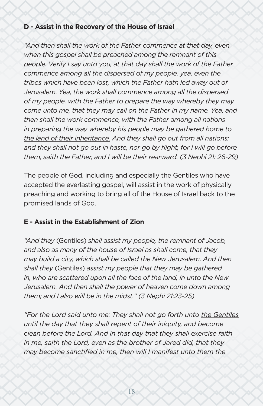### **D - Assist in the Recovery of the House of Israel**

"And then shall the work of the Father commence at that day, even *when this gospel shall be preached among the remnant of this people. Verily I say unto you, at that day shall the work of the Father*  commence among all the dispersed of my people, yea, even the *tribes which have been lost, which the Father hath led away out of Jerusalem. Yea, the work shall commence among all the dispersed of my people, with the Father to prepare the way whereby they may come unto me, that they may call on the Father in my name. Yea, and then shall the work commence, with the Father among all nations in preparing the way whereby his people may be gathered home to the land of their inheritance. And they shall go out from all nations; and they shall not go out in haste, nor go by flight, for I will go before them, saith the Father, and I will be their rearward. (3 Nephi 21: 26-29)*

The people of God, including and especially the Gentiles who have accepted the everlasting gospel, will assist in the work of physically preaching and working to bring all of the House of Israel back to the promised lands of God.

# **E - Assist in the Establishment of Zion**

*"And they* (Gentiles) *shall assist my people, the remnant of Jacob, and also as many of the house of Israel as shall come, that they may build a city, which shall be called the New Jerusalem. And then shall they* (Gentiles) *assist my people that they may be gathered in, who are scattered upon all the face of the land, in unto the New Jerusalem. And then shall the power of heaven come down among them; and I also will be in the midst." (3 Nephi 21:23-25)*

*"For the Lord said unto me: They shall not go forth unto the Gentiles until the day that they shall repent of their iniquity, and become clean before the Lord. And in that day that they shall exercise faith in me, saith the Lord, even as the brother of Jared did, that they may become sanctified in me, then will I manifest unto them the*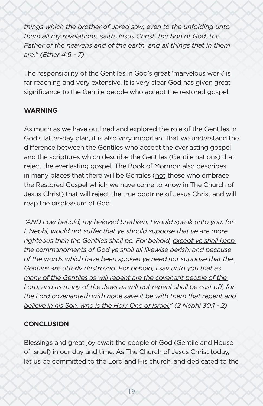*things which the brother of Jared saw, even to the unfolding unto them all my revelations, saith Jesus Christ, the Son of God, the Father of the heavens and of the earth, and all things that in them are." (Ether 4:6 - 7)*

The responsibility of the Gentiles in God's great 'marvelous work' is far reaching and very extensive. It is very clear God has given great significance to the Gentile people who accept the restored gospel.

# **WARNING**

As much as we have outlined and explored the role of the Gentiles in God's latter-day plan, it is also very important that we understand the difference between the Gentiles who accept the everlasting gospel and the scriptures which describe the Gentiles (Gentile nations) that reject the everlasting gospel. The Book of Mormon also describes in many places that there will be Gentiles (not those who embrace the Restored Gospel which we have come to know in The Church of Jesus Christ) that will reject the true doctrine of Jesus Christ and will reap the displeasure of God.

*"AND now behold, my beloved brethren, I would speak unto you; for I, Nephi, would not suffer that ye should suppose that ye are more righteous than the Gentiles shall be. For behold, except ye shall keep the commandments of God ye shall all likewise perish; and because of the words which have been spoken ye need not suppose that the Gentiles are utterly destroyed. For behold, I say unto you that as many of the Gentiles as will repent are the covenant people of the Lord; and as many of the Jews as will not repent shall be cast off; for the Lord covenanteth with none save it be with them that repent and believe in his Son, who is the Holy One of Israel." (2 Nephi 30:1 - 2)*

# **CONCLUSION**

Blessings and great joy await the people of God (Gentile and House of Israel) in our day and time. As The Church of Jesus Christ today, let us be committed to the Lord and His church, and dedicated to the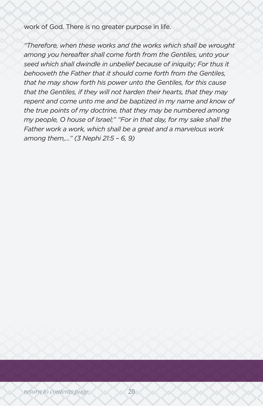work of God. There is no greater purpose in life.

*"Therefore, when these works and the works which shall be wrought among you hereafter shall come forth from the Gentiles, unto your seed which shall dwindle in unbelief because of iniquity; For thus it behooveth the Father that it should come forth from the Gentiles, that he may show forth his power unto the Gentiles, for this cause that the Gentiles, if they will not harden their hearts, that they may repent and come unto me and be baptized in my name and know of the true points of my doctrine, that they may be numbered among my people, O house of Israel;" "For in that day, for my sake shall the Father work a work, which shall be a great and a marvelous work among them,…" (3 Nephi 21:5 – 6, 9)*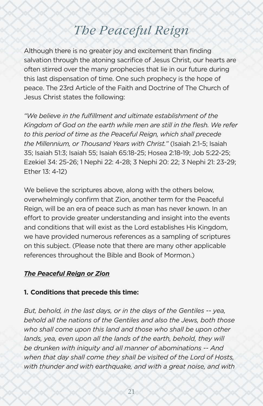# *The Peaceful Reign*

<span id="page-20-0"></span>Although there is no greater joy and excitement than finding salvation through the atoning sacrifice of Jesus Christ, our hearts are often stirred over the many prophecies that lie in our future during this last dispensation of time. One such prophecy is the hope of peace. The 23rd Article of the Faith and Doctrine of The Church of Jesus Christ states the following:

*"We believe in the fulfillment and ultimate establishment of the Kingdom of God on the earth while men are still in the flesh. We refer to this period of time as the Peaceful Reign, which shall precede the Millennium, or Thousand Years with Christ."* (Isaiah 2:1-5; Isaiah 35; Isaiah 51:3; Isaiah 55; Isaiah 65:18-25; Hosea 2:18-19; Job 5:22-25; Ezekiel 34: 25-26; 1 Nephi 22: 4-28; 3 Nephi 20: 22; 3 Nephi 21: 23-29; Ether 13: 4-12)

We believe the scriptures above, along with the others below, overwhelmingly confirm that Zion, another term for the Peaceful Reign, will be an era of peace such as man has never known. In an effort to provide greater understanding and insight into the events and conditions that will exist as the Lord establishes His Kingdom, we have provided numerous references as a sampling of scriptures on this subject. (Please note that there are many other applicable references throughout the Bible and Book of Mormon.)

#### *The Peaceful Reign or Zion*

#### **1. Conditions that precede this time:**

*But, behold, in the last days, or in the days of the Gentiles -- yea, behold all the nations of the Gentiles and also the Jews, both those who shall come upon this land and those who shall be upon other*  lands, yea, even upon all the lands of the earth, behold, they will *be drunken with iniquity and all manner of abominations -- And when that day shall come they shall be visited of the Lord of Hosts, with thunder and with earthquake, and with a great noise, and with*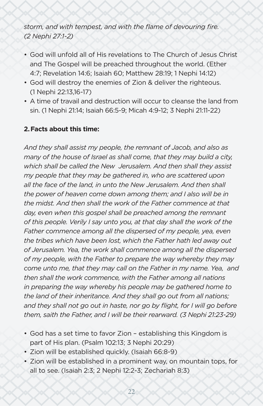*storm, and with tempest, and with the flame of devouring fire. (2 Nephi 27:1-2)*

- God will unfold all of His revelations to The Church of Jesus Christ and The Gospel will be preached throughout the world. (Ether 4:7; Revelation 14:6; Isaiah 60; Matthew 28:19; 1 Nephi 14:12)
- God will destroy the enemies of Zion & deliver the righteous. (1 Nephi 22:13,16-17)
- A time of travail and destruction will occur to cleanse the land from sin. (1 Nephi 21:14; Isaiah 66:5-9; Micah 4:9-12; 3 Nephi 21:11-22)

#### **2.Facts about this time:**

*And they shall assist my people, the remnant of Jacob, and also as many of the house of Israel as shall come, that they may build a city, which shall be called the New Jerusalem. And then shall they assist my people that they may be gathered in, who are scattered upon all the face of the land, in unto the New Jerusalem. And then shall the power of heaven come down among them; and I also will be in the midst. And then shall the work of the Father commence at that day, even when this gospel shall be preached among the remnant of this people. Verily I say unto you, at that day shall the work of the Father commence among all the dispersed of my people, yea, even the tribes which have been lost, which the Father hath led away out of Jerusalem. Yea, the work shall commence among all the dispersed of my people, with the Father to prepare the way whereby they may come unto me, that they may call on the Father in my name. Yea, and then shall the work commence, with the Father among all nations in preparing the way whereby his people may be gathered home to the land of their inheritance. And they shall go out from all nations; and they shall not go out in haste, nor go by flight, for I will go before them, saith the Father, and I will be their rearward. (3 Nephi 21:23-29)*

- God has a set time to favor Zion establishing this Kingdom is part of His plan. (Psalm 102:13; 3 Nephi 20:29)
- Zion will be established quickly. (Isaiah 66:8-9)
- Zion will be established in a prominent way, on mountain tops, for all to see. (Isaiah 2:3; 2 Nephi 12:2-3; Zechariah 8:3)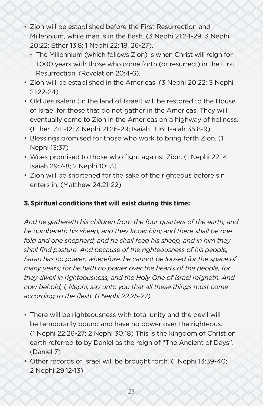- Zion will be established before the First Resurrection and Millennium, while man is in the flesh. (3 Nephi 21:24-29; 3 Nephi 20:22; Ether 13:8; 1 Nephi 22: 18, 26-27).
	- » The Millennium (which follows Zion) is when Christ will reign for 1,000 years with those who come forth (or resurrect) in the First Resurrection. (Revelation 20:4-6).
- Zion will be established in the Americas. (3 Nephi 20:22; 3 Nephi 21:22-24)
- Old Jerusalem (in the land of Israel) will be restored to the House of Israel for those that do not gather in the Americas. They will eventually come to Zion in the Americas on a highway of holiness. (Ether 13:11-12; 3 Nephi 21:26-29; Isaiah 11:16; Isaiah 35:8-9)
- Blessings promised for those who work to bring forth Zion. (1 Nephi 13:37)
- Woes promised to those who fight against Zion. (1 Nephi 22:14; Isaiah 29:7-8; 2 Nephi 10:13)
- Zion will be shortened for the sake of the righteous before sin enters in. (Matthew 24:21-22)

## **3.Spiritual conditions that will exist during this time:**

*And he gathereth his children from the four quarters of the earth; and he numbereth his sheep, and they know him; and there shall be one fold and one shepherd; and he shall feed his sheep, and in him they shall find pasture. And because of the righteousness of his people, Satan has no power; wherefore, he cannot be loosed for the space of many years; for he hath no power over the hearts of the people, for they dwell in righteousness, and the Holy One of Israel reigneth. And now behold, I, Nephi, say unto you that all these things must come according to the flesh. (1 Nephi 22:25-27)*

- There will be righteousness with total unity and the devil will be temporarily bound and have no power over the righteous. (1 Nephi 22:26-27; 2 Nephi 30:18) This is the kingdom of Christ on earth referred to by Daniel as the reign of "The Ancient of Days". (Daniel 7)
- Other records of Israel will be brought forth. (1 Nephi 13:39-40; 2 Nephi 29:12-13)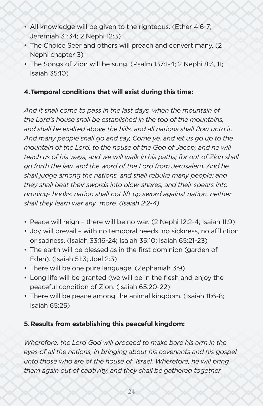- All knowledge will be given to the righteous. (Ether 4:6-7; Jeremiah 31:34; 2 Nephi 12:3)
- The Choice Seer and others will preach and convert many. (2 Nephi chapter 3)
- The Songs of Zion will be sung. (Psalm 137:1-4; 2 Nephi 8:3, 11; Isaiah 35:10)

#### **4.Temporal conditions that will exist during this time:**

*And it shall come to pass in the last days, when the mountain of the Lord's house shall be established in the top of the mountains, and shall be exalted above the hills, and all nations shall flow unto it. And many people shall go and say, Come ye, and let us go up to the mountain of the Lord, to the house of the God of Jacob; and he will teach us of his ways, and we will walk in his paths; for out of Zion shall go forth the law, and the word of the Lord from Jerusalem. And he shall judge among the nations, and shall rebuke many people: and they shall beat their swords into plow-shares, and their spears into pruning- hooks: nation shall not lift up sword against nation, neither shall they learn war any more. (Isaiah 2:2-4)*

- Peace will reign there will be no war. (2 Nephi 12:2-4; Isaiah 11:9)
- Joy will prevail with no temporal needs, no sickness, no affliction or sadness. (Isaiah 33:16-24; Isaiah 35:10; Isaiah 65:21-23)
- The earth will be blessed as in the first dominion (garden of Eden). (Isaiah 51:3; Joel 2:3)
- There will be one pure language. (Zephaniah 3:9)
- Long life will be granted (we will be in the flesh and enjoy the peaceful condition of Zion. (Isaiah 65:20-22)
- There will be peace among the animal kingdom. (Isaiah 11:6-8; Isaiah 65:25)

#### **5.Results from establishing this peaceful kingdom:**

*Wherefore, the Lord God will proceed to make bare his arm in the eyes of all the nations, in bringing about his covenants and his gospel*  unto those who are of the house of Israel. Wherefore, he will bring *them again out of captivity, and they shall be gathered together*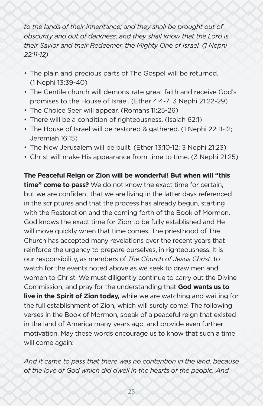*to the lands of their inheritance; and they shall be brought out of obscurity and out of darkness; and they shall know that the Lord is their Savior and their Redeemer, the Mighty One of Israel. (1 Nephi 22:11-12)*

- The plain and precious parts of The Gospel will be returned. (1 Nephi 13:39-40)
- The Gentile church will demonstrate great faith and receive God's promises to the House of Israel. (Ether 4:4-7; 3 Nephi 21:22-29)
- The Choice Seer will appear. (Romans 11:25-26)
- There will be a condition of righteousness. (Isaiah 62:1)
- The House of Israel will be restored & gathered. (1 Nephi 22:11-12; Jeremiah 16:15)
- The New Jerusalem will be built. (Ether 13:10-12; 3 Nephi 21:23)
- Christ will make His appearance from time to time. (3 Nephi 21:25)

**The Peaceful Reign or Zion will be wonderful! But when will "this time" come to pass?** We do not know the exact time for certain, but we are confident that we are living in the latter days referenced in the scriptures and that the process has already begun, starting with the Restoration and the coming forth of the Book of Mormon. God knows the exact time for Zion to be fully established and He will move quickly when that time comes. The priesthood of The Church has accepted many revelations over the recent years that reinforce the urgency to prepare ourselves, in righteousness. It is our responsibility, as members of *The Church of Jesus Christ*, to watch for the events noted above as we seek to draw men and women to Christ. We must diligently continue to carry out the Divine Commission, and pray for the understanding that **God wants us to live in the Spirit of Zion today,** while we are watching and waiting for the full establishment of Zion, which will surely come! The following verses in the Book of Mormon, speak of a peaceful reign that existed in the land of America many years ago, and provide even further motivation. May these words encourage us to know that such a time will come again:

*And it came to pass that there was no contention in the land, because of the love of God which did dwell in the hearts of the people. And*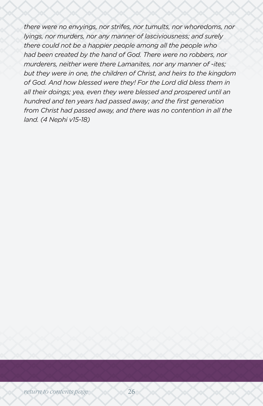*there were no envyings, nor strifes, nor tumults, nor whoredoms, nor lyings, nor murders, nor any manner of lasciviousness; and surely there could not be a happier people among all the people who had been created by the hand of God. There were no robbers, nor murderers, neither were there Lamanites, nor any manner of -ites; but they were in one, the children of Christ, and heirs to the kingdom of God. And how blessed were they! For the Lord did bless them in all their doings; yea, even they were blessed and prospered until an hundred and ten years had passed away; and the first generation from Christ had passed away, and there was no contention in all the land. (4 Nephi v15-18)*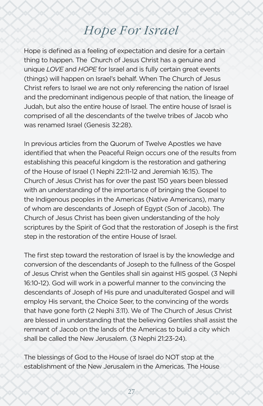# *Hope For Israel*

<span id="page-26-0"></span>Hope is defined as a feeling of expectation and desire for a certain thing to happen. The Church of Jesus Christ has a genuine and unique *LOVE* and *HOPE* for Israel and is fully certain great events (things) will happen on Israel's behalf. When The Church of Jesus Christ refers to Israel we are not only referencing the nation of Israel and the predominant indigenous people of that nation, the lineage of Judah, but also the entire house of Israel. The entire house of Israel is comprised of all the descendants of the twelve tribes of Jacob who was renamed Israel (Genesis 32:28).

In previous articles from the Quorum of Twelve Apostles we have identified that when the Peaceful Reign occurs one of the results from establishing this peaceful kingdom is the restoration and gathering of the House of Israel (1 Nephi 22:11-12 and Jeremiah 16:15). The Church of Jesus Christ has for over the past 150 years been blessed with an understanding of the importance of bringing the Gospel to the Indigenous peoples in the Americas (Native Americans), many of whom are descendants of Joseph of Egypt (Son of Jacob). The Church of Jesus Christ has been given understanding of the holy scriptures by the Spirit of God that the restoration of Joseph is the first step in the restoration of the entire House of Israel.

The first step toward the restoration of Israel is by the knowledge and conversion of the descendants of Joseph to the fullness of the Gospel of Jesus Christ when the Gentiles shall sin against HIS gospel. (3 Nephi 16:10-12). God will work in a powerful manner to the convincing the descendants of Joseph of His pure and unadulterated Gospel and will employ His servant, the Choice Seer, to the convincing of the words that have gone forth (2 Nephi 3:11). We of The Church of Jesus Christ are blessed in understanding that the believing Gentiles shall assist the remnant of Jacob on the lands of the Americas to build a city which shall be called the New Jerusalem. (3 Nephi 21:23-24).

The blessings of God to the House of Israel do NOT stop at the establishment of the New Jerusalem in the Americas. The House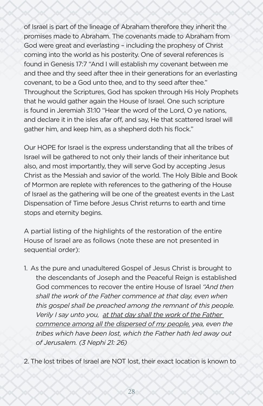of Israel is part of the lineage of Abraham therefore they inherit the promises made to Abraham. The covenants made to Abraham from God were great and everlasting – including the prophesy of Christ coming into the world as his posterity. One of several references is found in Genesis 17:7 "And I will establish my covenant between me and thee and thy seed after thee in their generations for an everlasting covenant, to be a God unto thee, and to thy seed after thee." Throughout the Scriptures, God has spoken through His Holy Prophets that he would gather again the House of Israel. One such scripture is found in Jeremiah 31:10 "Hear the word of the Lord, O ye nations, and declare it in the isles afar off, and say, He that scattered Israel will gather him, and keep him, as a shepherd doth his flock."

Our HOPE for Israel is the express understanding that all the tribes of Israel will be gathered to not only their lands of their inheritance but also, and most importantly, they will serve God by accepting Jesus Christ as the Messiah and savior of the world. The Holy Bible and Book of Mormon are replete with references to the gathering of the House of Israel as the gathering will be one of the greatest events in the Last Dispensation of Time before Jesus Christ returns to earth and time stops and eternity begins.

A partial listing of the highlights of the restoration of the entire House of Israel are as follows (note these are not presented in sequential order):

1. As the pure and unadultered Gospel of Jesus Christ is brought to the descendants of Joseph and the Peaceful Reign is established God commences to recover the entire House of Israel *"And then shall the work of the Father commence at that day, even when this gospel shall be preached among the remnant of this people. Verily I say unto you, at that day shall the work of the Father commence among all the dispersed of my people, yea, even the tribes which have been lost, which the Father hath led away out of Jerusalem. (3 Nephi 21: 26)*

2. The lost tribes of Israel are NOT lost, their exact location is known to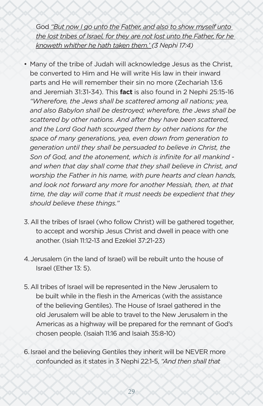God *"But now I go unto the Father, and also to show myself unto the lost tribes of Israel, for they are not lost unto the Father, for he knoweth whither he hath taken them.' (3 Nephi 17:4)*

- Many of the tribe of Judah will acknowledge Jesus as the Christ, be converted to Him and He will write His law in their inward parts and He will remember their sin no more (Zechariah 13:6 and Jeremiah 31:31-34). This **fact** is also found in 2 Nephi 25:15-16 *"Wherefore, the Jews shall be scattered among all nations; yea, and also Babylon shall be destroyed; wherefore, the Jews shall be scattered by other nations. And after they have been scattered, and the Lord God hath scourged them by other nations for the space of many generations, yea, even down from generation to generation until they shall be persuaded to believe in Christ, the Son of God, and the atonement, which is infinite for all mankind and when that day shall come that they shall believe in Christ, and worship the Father in his name, with pure hearts and clean hands, and look not forward any more for another Messiah, then, at that time, the day will come that it must needs be expedient that they should believe these things."*
- 3. All the tribes of Israel (who follow Christ) will be gathered together, to accept and worship Jesus Christ and dwell in peace with one another. (Isiah 11:12-13 and Ezekiel 37:21-23)
- 4.Jerusalem (in the land of Israel) will be rebuilt unto the house of Israel (Ether 13: 5).
- 5. All tribes of Israel will be represented in the New Jerusalem to be built while in the flesh in the Americas (with the assistance of the believing Gentiles). The House of Israel gathered in the old Jerusalem will be able to travel to the New Jerusalem in the Americas as a highway will be prepared for the remnant of God's chosen people. (Isaiah 11:16 and Isaiah 35:8-10)
- 6. Israel and the believing Gentiles they inherit will be NEVER more confounded as it states in 3 Nephi 22:1-5, *"And then shall that*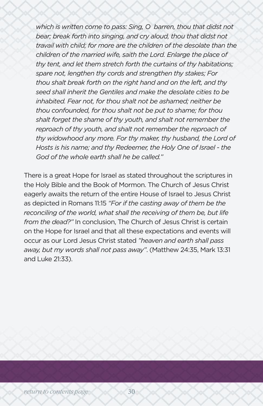*which is written come to pass: Sing, O barren, thou that didst not*  bear; break forth into singing, and cry aloud, thou that didst not *travail with child; for more are the children of the desolate than the children of the married wife, saith the Lord. Enlarge the place of thy tent, and let them stretch forth the curtains of thy habitations; spare not, lengthen thy cords and strengthen thy stakes; For thou shalt break forth on the right hand and on the left, and thy seed shall inherit the Gentiles and make the desolate cities to be inhabited. Fear not, for thou shalt not be ashamed; neither be thou confounded, for thou shalt not be put to shame; for thou shalt forget the shame of thy youth, and shalt not remember the reproach of thy youth, and shalt not remember the reproach of thy widowhood any more. For thy maker, thy husband, the Lord of Hosts is his name; and thy Redeemer, the Holy One of Israel - the God of the whole earth shall he be called."*

There is a great Hope for Israel as stated throughout the scriptures in the Holy Bible and the Book of Mormon. The Church of Jesus Christ eagerly awaits the return of the entire House of Israel to Jesus Christ as depicted in Romans 11:15 *"For if the casting away of them be the reconciling of the world, what shall the receiving of them be, but life from the dead?"* In conclusion, The Church of Jesus Christ is certain on the Hope for Israel and that all these expectations and events will occur as our Lord Jesus Christ stated *"heaven and earth shall pass away, but my words shall not pass away"*. (Matthew 24:35, Mark 13:31 and Luke 21:33).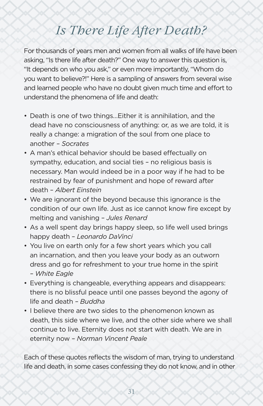# *Is There Life After Death?*

<span id="page-30-0"></span>For thousands of years men and women from all walks of life have been asking, "Is there life after death?" One way to answer this question is, "It depends on who you ask," or even more importantly, "Whom do you want to believe?!" Here is a sampling of answers from several wise and learned people who have no doubt given much time and effort to understand the phenomena of life and death:

- Death is one of two things…Either it is annihilation, and the dead have no consciousness of anything: or, as we are told, it is really a change: a migration of the soul from one place to another – *Socrates*
- A man's ethical behavior should be based effectually on sympathy, education, and social ties – no religious basis is necessary. Man would indeed be in a poor way if he had to be restrained by fear of punishment and hope of reward after death – *Albert Einstein*
- We are ignorant of the beyond because this ignorance is the condition of our own life. Just as ice cannot know fire except by melting and vanishing – *Jules Renard*
- As a well spent day brings happy sleep, so life well used brings happy death – *Leonardo DaVinci*
- You live on earth only for a few short years which you call an incarnation, and then you leave your body as an outworn dress and go for refreshment to your true home in the spirit *– White Eagle*
- Everything is changeable, everything appears and disappears: there is no blissful peace until one passes beyond the agony of life and death *– Buddha*
- I believe there are two sides to the phenomenon known as death, this side where we live, and the other side where we shall continue to live. Eternity does not start with death. We are in eternity now *– Norman Vincent Peale*

Each of these quotes reflects the wisdom of man, trying to understand life and death, in some cases confessing they do not know, and in other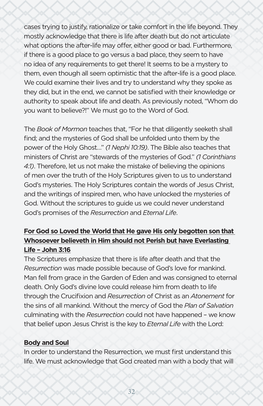cases trying to justify, rationalize or take comfort in the life beyond. They mostly acknowledge that there is life after death but do not articulate what options the after-life may offer, either good or bad. Furthermore, if there is a good place to go versus a bad place, they seem to have no idea of any requirements to get there! It seems to be a mystery to them, even though all seem optimistic that the after-life is a good place. We could examine their lives and try to understand why they spoke as they did, but in the end, we cannot be satisfied with their knowledge or authority to speak about life and death. As previously noted, "Whom do you want to believe?!" We must go to the Word of God.

The *Book of Mormon* teaches that, "For he that diligently seeketh shall find; and the mysteries of God shall be unfolded unto them by the power of the Holy Ghost…" *(1 Nephi 10:19)*. The Bible also teaches that ministers of Christ are "stewards of the mysteries of God." *(1 Corinthians 4:1)*. Therefore, let us not make the mistake of believing the opinions of men over the truth of the Holy Scriptures given to us to understand God's mysteries. The Holy Scriptures contain the words of Jesus Christ, and the writings of inspired men, who have unlocked the mysteries of God. Without the scriptures to guide us we could never understand God's promises of the *Resurrection* and *Eternal Life*.

# **For God so Loved the World that He gave His only begotten son that Whosoever believeth in Him should not Perish but have Everlasting Life – John 3:16**

The Scriptures emphasize that there is life after death and that the *Resurrection* was made possible because of God's love for mankind. Man fell from grace in the Garden of Eden and was consigned to eternal death. Only God's divine love could release him from death to life through the Crucifixion and *Resurrection* of Christ as an *Atonement* for the sins of all mankind. Without the mercy of God the *Plan of Salvation* culminating with the *Resurrection* could not have happened – we know that belief upon Jesus Christ is the key to *Eternal Life* with the Lord:

### **Body and Soul**

In order to understand the Resurrection, we must first understand this life. We must acknowledge that God created man with a body that will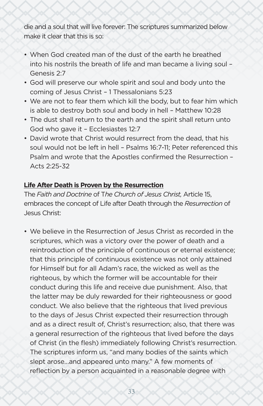die and a soul that will live forever: The scriptures summarized below make it clear that this is so:

- When God created man of the dust of the earth he breathed into his nostrils the breath of life and man became a living soul – Genesis 2:7
- God will preserve our whole spirit and soul and body unto the coming of Jesus Christ – 1 Thessalonians 5:23
- We are not to fear them which kill the body, but to fear him which is able to destroy both soul and body in hell – Matthew 10:28
- The dust shall return to the earth and the spirit shall return unto God who gave it – Ecclesiastes 12:7
- David wrote that Christ would resurrect from the dead, that his soul would not be left in hell – Psalms 16:7-11; Peter referenced this Psalm and wrote that the Apostles confirmed the Resurrection – Acts 2:25-32

#### **Life After Death is Proven by the Resurrection**

The *Faith and Doctrine* of T*he Church of Jesus Christ,* Article 15, embraces the concept of Life after Death through the *Resurrection* of Jesus Christ:

• We believe in the Resurrection of Jesus Christ as recorded in the scriptures, which was a victory over the power of death and a reintroduction of the principle of continuous or eternal existence; that this principle of continuous existence was not only attained for Himself but for all Adam's race, the wicked as well as the righteous, by which the former will be accountable for their conduct during this life and receive due punishment. Also, that the latter may be duly rewarded for their righteousness or good conduct. We also believe that the righteous that lived previous to the days of Jesus Christ expected their resurrection through and as a direct result of, Christ's resurrection; also, that there was a general resurrection of the righteous that lived before the days of Christ (in the flesh) immediately following Christ's resurrection. The scriptures inform us, "and many bodies of the saints which slept arose…and appeared unto many." A few moments of reflection by a person acquainted in a reasonable degree with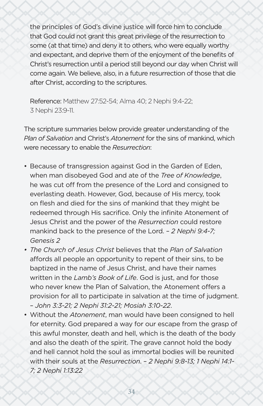the principles of God's divine justice will force him to conclude that God could not grant this great privilege of the resurrection to some (at that time) and deny it to others, who were equally worthy and expectant, and deprive them of the enjoyment of the benefits of Christ's resurrection until a period still beyond our day when Christ will come again. We believe, also, in a future resurrection of those that die after Christ, according to the scriptures.

Reference: Matthew 27:52-54; Alma 40; 2 Nephi 9:4-22; 3 Nephi 23:9-11.

The scripture summaries below provide greater understanding of the *Plan of Salvation* and Christ's *Atonement* for the sins of mankind, which were necessary to enable the *Resurrection*:

- Because of transgression against God in the Garden of Eden, when man disobeyed God and ate of the *Tree of Knowledge*, he was cut off from the presence of the Lord and consigned to everlasting death. However, God, because of His mercy, took on flesh and died for the sins of mankind that they might be redeemed through His sacrifice. Only the infinite Atonement of Jesus Christ and the power of the *Resurrection* could restore mankind back to the presence of the Lord. – *2 Nephi 9:4-7; Genesis 2*
- *• The Church of Jesus Christ* believes that the *Plan of Salvation* affords all people an opportunity to repent of their sins, to be baptized in the name of Jesus Christ, and have their names written in the *Lamb's Book of Life*. God is just, and for those who never knew the Plan of Salvation, the Atonement offers a provision for all to participate in salvation at the time of judgment. – *John 3:3-21; 2 Nephi 31:2-21; Mosiah 3:10-22*.
- Without the *Atonement*, man would have been consigned to hell for eternity. God prepared a way for our escape from the grasp of this awful monster, death and hell, which is the death of the body and also the death of the spirit. The grave cannot hold the body and hell cannot hold the soul as immortal bodies will be reunited with their souls at the *Resurrection*. – *2 Nephi 9:8-13; 1 Nephi 14:1- 7; 2 Nephi 1:13:22*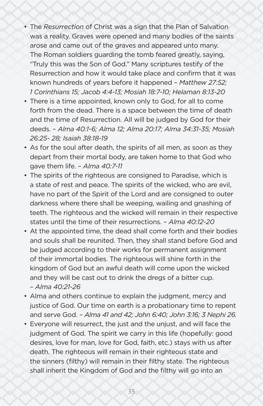- The *Resurrection* of Christ was a sign that the Plan of Salvation was a reality. Graves were opened and many bodies of the saints arose and came out of the graves and appeared unto many. The Roman soldiers guarding the tomb feared greatly, saying, "Truly this was the Son of God." Many scriptures testify of the Resurrection and how it would take place and confirm that it was known hundreds of years before it happened – *Matthew 27:52; 1 Corinthians 15; Jacob 4:4-13; Mosiah 18:7-10; Helaman 8:13-20*
- There is a time appointed, known only to God, for all to come forth from the dead. There is a space between the time of death and the time of Resurrection. All will be judged by God for their deeds. – *Alma 40:1-6; Alma 12; Alma 20:17; Alma 34:31-35; Mosiah 26:25- 28; Isaiah 38:18-19*
- As for the soul after death, the spirits of all men, as soon as they depart from their mortal body, are taken home to that God who gave them life. – *Alma 40:7-11*
- The spirits of the righteous are consigned to Paradise, which is a state of rest and peace. The spirits of the wicked, who are evil, have no part of the Spirit of the Lord and are consigned to outer darkness where there shall be weeping, wailing and gnashing of teeth. The righteous and the wicked will remain in their respective states until the time of their resurrections. – *Alma 40:12-20*
- At the appointed time, the dead shall come forth and their bodies and souls shall be reunited. Then, they shall stand before God and be judged according to their works for permanent assignment of their immortal bodies. The righteous will shine forth in the kingdom of God but an awful death will come upon the wicked and they will be cast out to drink the dregs of a bitter cup. *– Alma 40:21-26*
- Alma and others continue to explain the judgment, mercy and justice of God. Our time on earth is a probationary time to repent and serve God. *– Alma 41 and 42; John 6:40; John 3:16; 3 Nephi 26.*
- Everyone will resurrect, the just and the unjust, and will face the judgment of God. The spirit we carry in this life (hopefully: good desires, love for man, love for God, faith, etc.) stays with us after death. The righteous will remain in their righteous state and the sinners (filthy) will remain in their filthy state. The righteous shall inherit the Kingdom of God and the filthy will go into an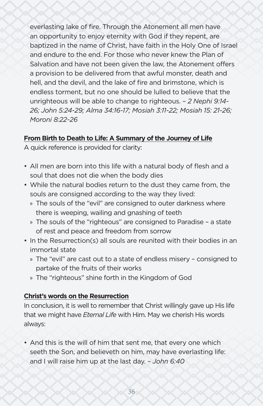everlasting lake of fire. Through the Atonement all men have an opportunity to enjoy eternity with God if they repent, are baptized in the name of Christ, have faith in the Holy One of Israel and endure to the end. For those who never knew the Plan of Salvation and have not been given the law, the Atonement offers a provision to be delivered from that awful monster, death and hell, and the devil, and the lake of fire and brimstone, which is endless torment, but no one should be lulled to believe that the unrighteous will be able to change to righteous. – *2 Nephi 9:14- 26; John 5:24-29; Alma 34:16-17; Mosiah 3:11-22; Mosiah 15: 21-26; Moroni 8:22-26*

### **From Birth to Death to Life: A Summary of the Journey of Life**

A quick reference is provided for clarity:

- All men are born into this life with a natural body of flesh and a soul that does not die when the body dies
- While the natural bodies return to the dust they came from, the souls are consigned according to the way they lived:
	- » The souls of the "evil" are consigned to outer darkness where there is weeping, wailing and gnashing of teeth
	- » The souls of the "righteous" are consigned to Paradise a state of rest and peace and freedom from sorrow
- In the Resurrection(s) all souls are reunited with their bodies in an immortal state
	- » The "evil" are cast out to a state of endless misery consigned to partake of the fruits of their works
	- » The "righteous" shine forth in the Kingdom of God

### **Christ's words on the Resurrection**

In conclusion, it is well to remember that Christ willingly gave up His life that we might have *Eternal Life* with Him. May we cherish His words always:

• And this is the will of him that sent me, that every one which seeth the Son, and believeth on him, may have everlasting life: and I will raise him up at the last day. – *John 6:40*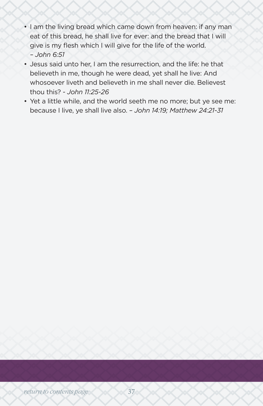- I am the living bread which came down from heaven: if any man eat of this bread, he shall live for ever: and the bread that I will give is my flesh which I will give for the life of the world. *– John 6:51*
- Jesus said unto her, I am the resurrection, and the life: he that believeth in me, though he were dead, yet shall he live: And whosoever liveth and believeth in me shall never die. Believest thou this? *- John 11:25-26*
- Yet a little while, and the world seeth me no more; but ye see me: because I live, ye shall live also. *– John 14:19; Matthew 24:21-31*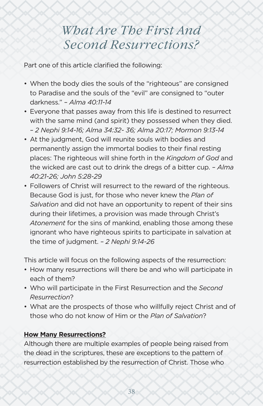# *What Are The First And Second Resurrections?*

<span id="page-37-0"></span>Part one of this article clarified the following:

- When the body dies the souls of the "righteous" are consigned to Paradise and the souls of the "evil" are consigned to "outer darkness." *– Alma 40:11-14*
- Everyone that passes away from this life is destined to resurrect with the same mind (and spirit) they possessed when they died. *– 2 Nephi 9:14-16; Alma 34:32- 36; Alma 20:17; Mormon 9:13-14*
- At the judgment, God will reunite souls with bodies and permanently assign the immortal bodies to their final resting places: The righteous will shine forth in the *Kingdom of God* and the wicked are cast out to drink the dregs of a bitter cup. *– Alma 40:21-26; John 5:28-29*
- Followers of Christ will resurrect to the reward of the righteous. Because God is just, for those who never knew the *Plan of Salvation* and did not have an opportunity to repent of their sins during their lifetimes, a provision was made through Christ's *Atonement* for the sins of mankind, enabling those among these ignorant who have righteous spirits to participate in salvation at the time of judgment. *– 2 Nephi 9:14-26*

This article will focus on the following aspects of the resurrection:

- How many resurrections will there be and who will participate in each of them?
- Who will participate in the First Resurrection and the *Second Resurrection*?
- What are the prospects of those who willfully reject Christ and of those who do not know of Him or the *Plan of Salvation*?

# **How Many Resurrections?**

Although there are multiple examples of people being raised from the dead in the scriptures, these are exceptions to the pattern of resurrection established by the resurrection of Christ. Those who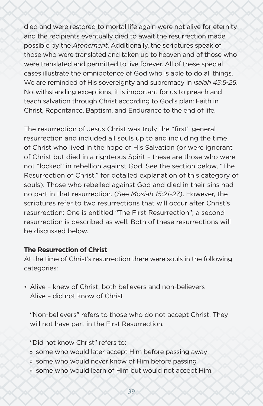died and were restored to mortal life again were not alive for eternity and the recipients eventually died to await the resurrection made possible by the *Atonement*. Additionally, the scriptures speak of those who were translated and taken up to heaven and of those who were translated and permitted to live forever. All of these special cases illustrate the omnipotence of God who is able to do all things. We are reminded of His sovereignty and supremacy in *Isaiah 45:5-25*. Notwithstanding exceptions, it is important for us to preach and teach salvation through Christ according to God's plan: Faith in Christ, Repentance, Baptism, and Endurance to the end of life.

The resurrection of Jesus Christ was truly the "first" general resurrection and included all souls up to and including the time of Christ who lived in the hope of His Salvation (or were ignorant of Christ but died in a righteous Spirit – these are those who were not "locked" in rebellion against God. See the section below, "The Resurrection of Christ," for detailed explanation of this category of souls). Those who rebelled against God and died in their sins had no part in that resurrection. (See *Mosiah 15:21-27)*. However, the scriptures refer to two resurrections that will occur after Christ's resurrection: One is entitled "The First Resurrection"; a second resurrection is described as well. Both of these resurrections will be discussed below.

### **The Resurrection of Christ**

At the time of Christ's resurrection there were souls in the following categories:

• Alive – knew of Christ; both believers and non-believers Alive – did not know of Christ

"Non-believers" refers to those who do not accept Christ. They will not have part in the First Resurrection.

"Did not know Christ" refers to:

- » some who would later accept Him before passing away
- » some who would never know of Him before passing
- » some who would learn of Him but would not accept Him.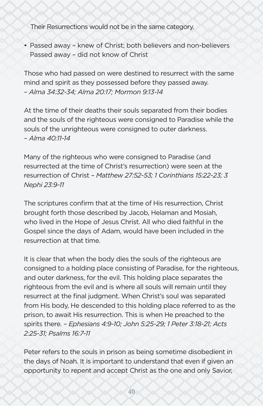Their Resurrections would not be in the same category.

• Passed away – knew of Christ; both believers and non-believers Passed away – did not know of Christ

Those who had passed on were destined to resurrect with the same mind and spirit as they possessed before they passed away. *– Alma 34:32-34; Alma 20:17; Mormon 9:13-14*

At the time of their deaths their souls separated from their bodies and the souls of the righteous were consigned to Paradise while the souls of the unrighteous were consigned to outer darkness. *– Alma 40:11-14*

Many of the righteous who were consigned to Paradise (and resurrected at the time of Christ's resurrection) were seen at the resurrection of Christ *– Matthew 27:52-53; 1 Corinthians 15:22-23; 3 Nephi 23:9-11*

The scriptures confirm that at the time of His resurrection, Christ brought forth those described by Jacob, Helaman and Mosiah, who lived in the Hope of Jesus Christ. All who died faithful in the Gospel since the days of Adam, would have been included in the resurrection at that time.

It is clear that when the body dies the souls of the righteous are consigned to a holding place consisting of Paradise, for the righteous, and outer darkness, for the evil. This holding place separates the righteous from the evil and is where all souls will remain until they resurrect at the final judgment. When Christ's soul was separated from His body, He descended to this holding place referred to as the prison, to await His resurrection. This is when He preached to the spirits there. *– Ephesians 4:9-10; John 5:25-29; 1 Peter 3:18-21; Acts 2:25-31; Psalms 16:7-11*

Peter refers to the souls in prison as being sometime disobedient in the days of Noah. It is important to understand that even if given an opportunity to repent and accept Christ as the one and only Savior,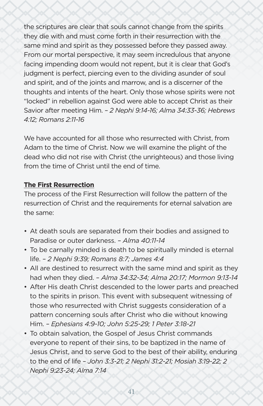the scriptures are clear that souls cannot change from the spirits they die with and must come forth in their resurrection with the same mind and spirit as they possessed before they passed away. From our mortal perspective, it may seem incredulous that anyone facing impending doom would not repent, but it is clear that God's judgment is perfect, piercing even to the dividing asunder of soul and spirit, and of the joints and marrow, and is a discerner of the thoughts and intents of the heart. Only those whose spirits were not "locked" in rebellion against God were able to accept Christ as their Savior after meeting Him. *– 2 Nephi 9:14-16; Alma 34:33-36; Hebrews 4:12; Romans 2:11-16*

We have accounted for all those who resurrected with Christ, from Adam to the time of Christ. Now we will examine the plight of the dead who did not rise with Christ (the unrighteous) and those living from the time of Christ until the end of time.

### **The First Resurrection**

The process of the First Resurrection will follow the pattern of the resurrection of Christ and the requirements for eternal salvation are the same:

- At death souls are separated from their bodies and assigned to Paradise or outer darkness. *– Alma 40:11-14*
- To be carnally minded is death to be spiritually minded is eternal life. *– 2 Nephi 9:39; Romans 8:7; James 4:4*
- All are destined to resurrect with the same mind and spirit as they had when they died. *– Alma 34:32-34; Alma 20:17; Mormon 9:13-14*
- After His death Christ descended to the lower parts and preached to the spirits in prison. This event with subsequent witnessing of those who resurrected with Christ suggests consideration of a pattern concerning souls after Christ who die without knowing Him. *– Ephesians 4:9-10; John 5:25-29; 1 Peter 3:18-21*
- To obtain salvation, the Gospel of Jesus Christ commands everyone to repent of their sins, to be baptized in the name of Jesus Christ, and to serve God to the best of their ability, enduring to the end of life *– John 3:3-21; 2 Nephi 31:2-21; Mosiah 3:19-22; 2 Nephi 9:23-24; Alma 7:14*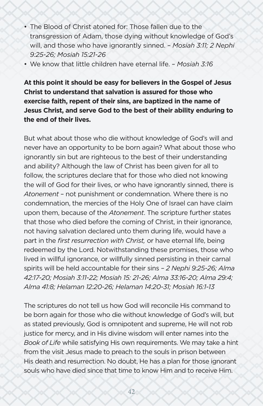- The Blood of Christ atoned for: Those fallen due to the transgression of Adam, those dying without knowledge of God's will, and those who have ignorantly sinned. *– Mosiah 3:11; 2 Nephi 9:25-26; Mosiah 15:21-26*
- We know that little children have eternal life. *Mosiah 3:16*

**At this point it should be easy for believers in the Gospel of Jesus Christ to understand that salvation is assured for those who exercise faith, repent of their sins, are baptized in the name of Jesus Christ, and serve God to the best of their ability enduring to the end of their lives.**

But what about those who die without knowledge of God's will and never have an opportunity to be born again? What about those who ignorantly sin but are righteous to the best of their understanding and ability? Although the law of Christ has been given for all to follow, the scriptures declare that for those who died not knowing the will of God for their lives, or who have ignorantly sinned, there is *Atonement* – not punishment or condemnation. Where there is no condemnation, the mercies of the Holy One of Israel can have claim upon them, because of the *Atonement*. The scripture further states that those who died before the coming of Christ, in their ignorance, not having salvation declared unto them during life, would have a part in the *first resurrection with Christ,* or have eternal life, being redeemed by the Lord. Notwithstanding these promises, those who lived in willful ignorance, or willfully sinned persisting in their carnal spirits will be held accountable for their sins *– 2 Nephi 9:25-26; Alma 42:17-20; Mosiah 3:11-22; Mosiah 15: 21-26; Alma 33:16-20; Alma 29:4; Alma 41:8; Helaman 12:20-26; Helaman 14:20-31; Mosiah 16:1-13*

The scriptures do not tell us how God will reconcile His command to be born again for those who die without knowledge of God's will, but as stated previously, God is omnipotent and supreme, He will not rob justice for mercy, and in His divine wisdom will enter names into the *Book of Life* while satisfying His own requirements. We may take a hint from the visit Jesus made to preach to the souls in prison between His death and resurrection. No doubt, He has a plan for those ignorant souls who have died since that time to know Him and to receive Him.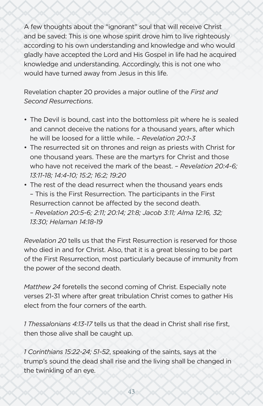A few thoughts about the "ignorant" soul that will receive Christ and be saved: This is one whose spirit drove him to live righteously according to his own understanding and knowledge and who would gladly have accepted the Lord and His Gospel in life had he acquired knowledge and understanding. Accordingly, this is not one who would have turned away from Jesus in this life.

Revelation chapter 20 provides a major outline of the *First and Second Resurrections*.

- The Devil is bound, cast into the bottomless pit where he is sealed and cannot deceive the nations for a thousand years, after which he will be loosed for a little while. *– Revelation 20:1-3*
- The resurrected sit on thrones and reign as priests with Christ for one thousand years. These are the martyrs for Christ and those who have not received the mark of the beast. *– Revelation 20:4-6; 13:11-18; 14:4-10; 15:2; 16:2; 19:20*
- The rest of the dead resurrect when the thousand years ends – This is the First Resurrection. The participants in the First Resurrection cannot be affected by the second death. *– Revelation 20:5-6; 2:11; 20:14; 21:8; Jacob 3:11; Alma 12:16, 32; 13:30; Helaman 14:18-19*

*Revelation 20* tells us that the First Resurrection is reserved for those who died in and for Christ. Also, that it is a great blessing to be part of the First Resurrection, most particularly because of immunity from the power of the second death.

*Matthew 24* foretells the second coming of Christ. Especially note verses 21-31 where after great tribulation Christ comes to gather His elect from the four corners of the earth.

*1 Thessalonians 4:13-17* tells us that the dead in Christ shall rise first, then those alive shall be caught up.

*1 Corinthians 15:22-24; 51-52*, speaking of the saints, says at the trump's sound the dead shall rise and the living shall be changed in the twinkling of an eye.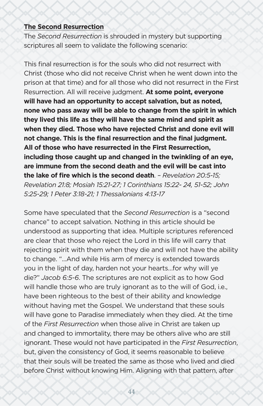#### **The Second Resurrection**

The *Second Resurrection* is shrouded in mystery but supporting scriptures all seem to validate the following scenario:

This final resurrection is for the souls who did not resurrect with Christ (those who did not receive Christ when he went down into the prison at that time) and for all those who did not resurrect in the First Resurrection. All will receive judgment. **At some point, everyone will have had an opportunity to accept salvation, but as noted, none who pass away will be able to change from the spirit in which they lived this life as they will have the same mind and spirit as when they died. Those who have rejected Christ and done evil will not change. This is the final resurrection and the final judgment. All of those who have resurrected in the First Resurrection, including those caught up and changed in the twinkling of an eye, are immune from the second death and the evil will be cast into the lake of fire which is the second death**. *– Revelation 20:5-15; Revelation 21:8; Mosiah 15:21-27; 1 Corinthians 15:22- 24, 51-52; John 5:25-29; 1 Peter 3:18-21; 1 Thessalonians 4:13-17*

Some have speculated that the *Second Resurrection* is a "second chance" to accept salvation. Nothing in this article should be understood as supporting that idea. Multiple scriptures referenced are clear that those who reject the Lord in this life will carry that rejecting spirit with them when they die and will not have the ability to change. "...And while His arm of mercy is extended towards you in the light of day, harden not your hearts…for why will ye die?" *Jacob 6:5-6*. The scriptures are not explicit as to how God will handle those who are truly ignorant as to the will of God, i.e., have been righteous to the best of their ability and knowledge without having met the Gospel. We understand that these souls will have gone to Paradise immediately when they died. At the time of the *First Resurrection* when those alive in Christ are taken up and changed to immortality, there may be others alive who are still ignorant. These would not have participated in the *First Resurrection*, but, given the consistency of God, it seems reasonable to believe that their souls will be treated the same as those who lived and died before Christ without knowing Him. Aligning with that pattern, after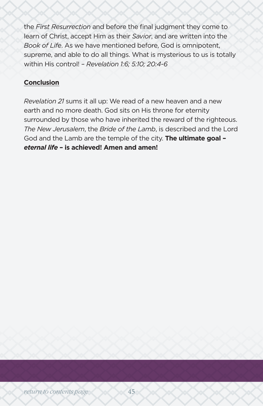the *First Resurrection* and before the final judgment they come to learn of Christ, accept Him as their *Savior*, and are written into the *Book of Life*. As we have mentioned before, God is omnipotent, supreme, and able to do all things. What is mysterious to us is totally within His control! *– Revelation 1:6; 5:10; 20:4-6*

### **Conclusion**

*Revelation 21* sums it all up: We read of a new heaven and a new earth and no more death. God sits on His throne for eternity surrounded by those who have inherited the reward of the righteous. *The New Jerusalem*, the *Bride of the Lamb*, is described and the Lord God and the Lamb are the temple of the city. **The ultimate goal –**  *eternal life* **– is achieved! Amen and amen!**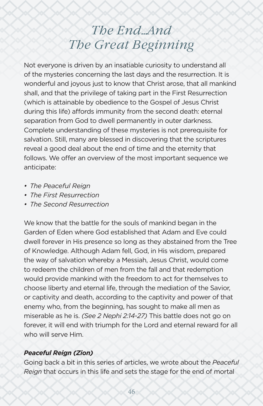# *The End…And The Great Beginning*

<span id="page-45-0"></span>Not everyone is driven by an insatiable curiosity to understand all of the mysteries concerning the last days and the resurrection. It is wonderful and joyous just to know that Christ arose, that all mankind shall, and that the privilege of taking part in the First Resurrection (which is attainable by obedience to the Gospel of Jesus Christ during this life) affords immunity from the second death: eternal separation from God to dwell permanently in outer darkness. Complete understanding of these mysteries is not prerequisite for salvation. Still, many are blessed in discovering that the scriptures reveal a good deal about the end of time and the eternity that follows. We offer an overview of the most important sequence we anticipate:

- *• The Peaceful Reign*
- *• The First Resurrection*
- *• The Second Resurrection*

We know that the battle for the souls of mankind began in the Garden of Eden where God established that Adam and Eve could dwell forever in His presence so long as they abstained from the Tree of Knowledge. Although Adam fell, God, in His wisdom, prepared the way of salvation whereby a Messiah, Jesus Christ, would come to redeem the children of men from the fall and that redemption would provide mankind with the freedom to act for themselves to choose liberty and eternal life, through the mediation of the Savior, or captivity and death, according to the captivity and power of that enemy who, from the beginning, has sought to make all men as miserable as he is. *(See 2 Nephi 2:14-27)* This battle does not go on forever, it will end with triumph for the Lord and eternal reward for all who will serve Him.

### *Peaceful Reign (Zion)*

Going back a bit in this series of articles, we wrote about the *Peaceful Reign* that occurs in this life and sets the stage for the end of mortal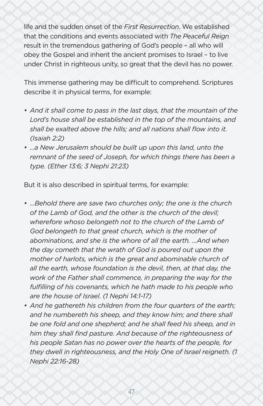life and the sudden onset of the *First Resurrection*. We established that the conditions and events associated with *The Peaceful Reign* result in the tremendous gathering of God's people – all who will obey the Gospel and inherit the ancient promises to Israel – to live under Christ in righteous unity, so great that the devil has no power.

This immense gathering may be difficult to comprehend. Scriptures describe it in physical terms, for example:

- *• And it shall come to pass in the last days, that the mountain of the Lord's house shall be established in the top of the mountains, and shall be exalted above the hills; and all nations shall flow into it. (Isaiah 2:2)*
- *• …a New Jerusalem should be built up upon this land, unto the remnant of the seed of Joseph, for which things there has been a type. (Ether 13:6; 3 Nephi 21:23)*

But it is also described in spiritual terms, for example:

- *• …Behold there are save two churches only; the one is the church of the Lamb of God, and the other is the church of the devil; wherefore whoso belongeth not to the church of the Lamb of God belongeth to that great church, which is the mother of abominations, and she is the whore of all the earth. …And when the day cometh that the wrath of God is poured out upon the mother of harlots, which is the great and abominable church of all the earth, whose foundation is the devil, then, at that day, the work of the Father shall commence, in preparing the way for the fulfilling of his covenants, which he hath made to his people who are the house of Israel. (1 Nephi 14:1-17)*
- *• And he gathereth his children from the four quarters of the earth; and he numbereth his sheep, and they know him; and there shall be one fold and one shepherd; and he shall feed his sheep, and in him they shall find pasture. And because of the righteousness of his people Satan has no power over the hearts of the people, for they dwell in righteousness, and the Holy One of Israel reigneth. (1 Nephi 22:16-28)*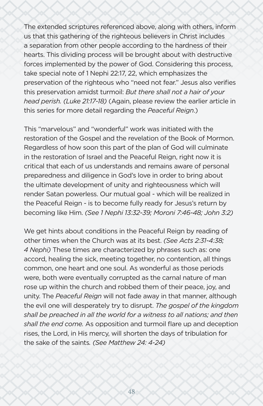The extended scriptures referenced above, along with others, inform us that this gathering of the righteous believers in Christ includes a separation from other people according to the hardness of their hearts. This dividing process will be brought about with destructive forces implemented by the power of God. Considering this process, take special note of 1 Nephi 22:17, 22, which emphasizes the preservation of the righteous who "need not fear." Jesus also verifies this preservation amidst turmoil: *But there shall not a hair of your head perish. (Luke 21:17-18)* (Again, please review the earlier article in this series for more detail regarding the *Peaceful Reign*.)

This "marvelous" and "wonderful" work was initiated with the restoration of the Gospel and the revelation of the Book of Mormon. Regardless of how soon this part of the plan of God will culminate in the restoration of Israel and the Peaceful Reign, right now it is critical that each of us understands and remains aware of personal preparedness and diligence in God's love in order to bring about the ultimate development of unity and righteousness which will render Satan powerless. Our mutual goal - which will be realized in the Peaceful Reign - is to become fully ready for Jesus's return by becoming like Him. *(See 1 Nephi 13:32-39; Moroni 7:46-48; John 3:2)*

We get hints about conditions in the Peaceful Reign by reading of other times when the Church was at its best. *(See Acts 2:31-4:38; 4 Nephi)* These times are characterized by phrases such as: one accord, healing the sick, meeting together, no contention, all things common, one heart and one soul. As wonderful as those periods were, both were eventually corrupted as the carnal nature of man rose up within the church and robbed them of their peace, joy, and unity. The *Peaceful Reign* will not fade away in that manner, although the evil one will desperately try to disrupt. *The gospel of the kingdom shall be preached in all the world for a witness to all nations; and then shall the end come.* As opposition and turmoil flare up and deception rises, the Lord, in His mercy, will shorten the days of tribulation for the sake of the saints*. (See Matthew 24: 4-24)*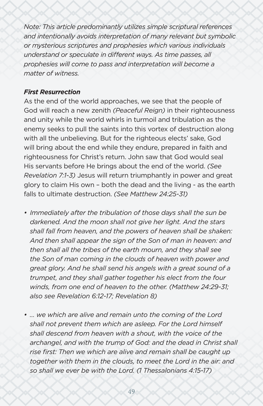*Note: This article predominantly utilizes simple scriptural references and intentionally avoids interpretation of many relevant but symbolic or mysterious scriptures and prophesies which various individuals understand or speculate in different ways. As time passes, all prophesies will come to pass and interpretation will become a matter of witness.*

#### *First Resurrection*

As the end of the world approaches, we see that the people of God will reach a new zenith *(Peaceful Reign)* in their righteousness and unity while the world whirls in turmoil and tribulation as the enemy seeks to pull the saints into this vortex of destruction along with all the unbelieving. But for the righteous elects' sake, God will bring about the end while they endure, prepared in faith and righteousness for Christ's return. John saw that God would seal His servants before He brings about the end of the world. *(See Revelation 7:1-3)* Jesus will return triumphantly in power and great glory to claim His own – both the dead and the living - as the earth falls to ultimate destruction. *(See Matthew 24:25-31)*

- *• Immediately after the tribulation of those days shall the sun be darkened. And the moon shall not give her light. And the stars shall fall from heaven, and the powers of heaven shall be shaken: And then shall appear the sign of the Son of man in heaven: and then shall all the tribes of the earth mourn, and they shall see the Son of man coming in the clouds of heaven with power and great glory. And he shall send his angels with a great sound of a trumpet, and they shall gather together his elect from the four winds, from one end of heaven to the other. (Matthew 24:29-31; also see Revelation 6:12-17; Revelation 8)*
- *• … we which are alive and remain unto the coming of the Lord shall not prevent them which are asleep. For the Lord himself shall descend from heaven with a shout, with the voice of the archangel, and with the trump of God: and the dead in Christ shall rise first: Then we which are alive and remain shall be caught up together with them in the clouds, to meet the Lord in the air: and so shall we ever be with the Lord. (1 Thessalonians 4:15-17)*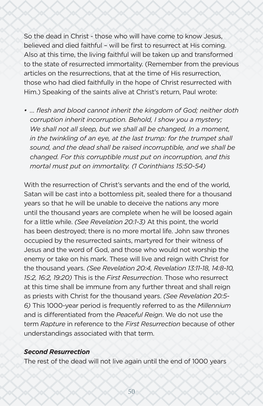So the dead in Christ - those who will have come to know Jesus, believed and died faithful – will be first to resurrect at His coming. Also at this time, the living faithful will be taken up and transformed to the state of resurrected immortality. (Remember from the previous articles on the resurrections, that at the time of His resurrection, those who had died faithfully in the hope of Christ resurrected with Him.) Speaking of the saints alive at Christ's return, Paul wrote:

*• … flesh and blood cannot inherit the kingdom of God; neither doth corruption inherit incorruption. Behold, I show you a mystery;*  We shall not all sleep, but we shall all be changed, In a moment, *in the twinkling of an eye, at the last trump: for the trumpet shall sound, and the dead shall be raised incorruptible, and we shall be changed. For this corruptible must put on incorruption, and this mortal must put on immortality. (1 Corinthians 15:50-54)*

With the resurrection of Christ's servants and the end of the world, Satan will be cast into a bottomless pit, sealed there for a thousand years so that he will be unable to deceive the nations any more until the thousand years are complete when he will be loosed again for a little while. *(See Revelation 20:1-3)* At this point, the world has been destroyed; there is no more mortal life. John saw thrones occupied by the resurrected saints, martyred for their witness of Jesus and the word of God, and those who would not worship the enemy or take on his mark. These will live and reign with Christ for the thousand years. *(See Revelation 20:4, Revelation 13:11-18, 14:8-10, 15:2, 16:2, 19:20)* This is the *First Resurrection*. Those who resurrect at this time shall be immune from any further threat and shall reign as priests with Christ for the thousand years. *(See Revelation 20:5- 6)* This 1000-year period is frequently referred to as the *Millennium* and is differentiated from the *Peaceful Reign*. We do not use the term *Rapture* in reference to the *First Resurrection* because of other understandings associated with that term.

#### *Second Resurrection*

The rest of the dead will not live again until the end of 1000 years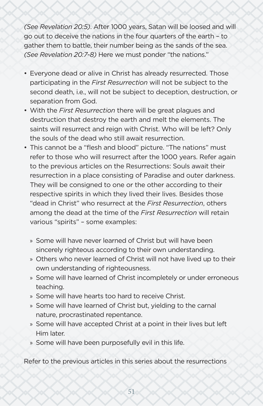*(See Revelation 20:5)*. After 1000 years, Satan will be loosed and will go out to deceive the nations in the four quarters of the earth – to gather them to battle, their number being as the sands of the sea. *(See Revelation 20:7-8)* Here we must ponder "the nations."

- Everyone dead or alive in Christ has already resurrected. Those participating in the *First Resurrection* will not be subject to the second death, i.e., will not be subject to deception, destruction, or separation from God.
- With the *First Resurrection* there will be great plagues and destruction that destroy the earth and melt the elements. The saints will resurrect and reign with Christ. Who will be left? Only the souls of the dead who still await resurrection.
- This cannot be a "flesh and blood" picture. "The nations" must refer to those who will resurrect after the 1000 years. Refer again to the previous articles on the Resurrections: Souls await their resurrection in a place consisting of Paradise and outer darkness. They will be consigned to one or the other according to their respective spirits in which they lived their lives. Besides those "dead in Christ" who resurrect at the *First Resurrection*, others among the dead at the time of the *First Resurrection* will retain various "spirits" – some examples:
	- » Some will have never learned of Christ but will have been sincerely righteous according to their own understanding.
	- » Others who never learned of Christ will not have lived up to their own understanding of righteousness.
	- » Some will have learned of Christ incompletely or under erroneous teaching.
	- » Some will have hearts too hard to receive Christ.
	- » Some will have learned of Christ but, yielding to the carnal nature, procrastinated repentance.
	- » Some will have accepted Christ at a point in their lives but left Him later.
	- » Some will have been purposefully evil in this life.

Refer to the previous articles in this series about the resurrections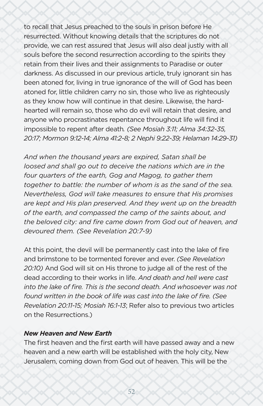to recall that Jesus preached to the souls in prison before He resurrected. Without knowing details that the scriptures do not provide, we can rest assured that Jesus will also deal justly with all souls before the second resurrection according to the spirits they retain from their lives and their assignments to Paradise or outer darkness. As discussed in our previous article, truly ignorant sin has been atoned for, living in true ignorance of the will of God has been atoned for, little children carry no sin, those who live as righteously as they know how will continue in that desire. Likewise, the hardhearted will remain so, those who do evil will retain that desire, and anyone who procrastinates repentance throughout life will find it impossible to repent after death*. (See Mosiah 3:11; Alma 34:32-35, 20:17; Mormon 9:12-14; Alma 41:2-8; 2 Nephi 9:22-39; Helaman 14:29-31)*

*And when the thousand years are expired, Satan shall be loosed and shall go out to deceive the nations which are in the four quarters of the earth, Gog and Magog, to gather them together to battle: the number of whom is as the sand of the sea. Nevertheless, God will take measures to ensure that His promises are kept and His plan preserved. And they went up on the breadth of the earth, and compassed the camp of the saints about, and the beloved city: and fire came down from God out of heaven, and devoured them. (See Revelation 20:7-9)*

At this point, the devil will be permanently cast into the lake of fire and brimstone to be tormented forever and ever. *(See Revelation 20:10)* And God will sit on His throne to judge all of the rest of the dead according to their works in life. *And death and hell were cast into the lake of fire. This is the second death. And whosoever was not found written in the book of life was cast into the lake of fire. (See Revelation 20:11-15; Mosiah 16:1-13*; Refer also to previous two articles on the Resurrections.)

#### *New Heaven and New Earth*

The first heaven and the first earth will have passed away and a new heaven and a new earth will be established with the holy city, New Jerusalem, coming down from God out of heaven. This will be the